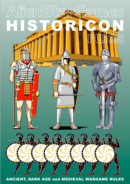

ANCIENT, DARK AGE and MEDIEVAL WARGAME RULES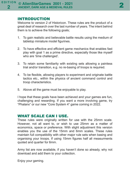#### INTRODUCTION

Welcome to version 2 of Historicon. These rules are the product of a great deal of research over the last number of years. The intent behind them is to achieve the following goals;

- 1. To gain realistic and believable battle results using the medium of tabletop miniature model figurines.
- 2. To have effective and efficient game mechanics that enables fast play with goal 1 as a prime directive, especially those like myself who are 'time challenged'.
- 3. To retain some familiarity with existing sets allowing a painless trial and/or transition, e.g. no re-basing of troops is required.
- 4. To be flexible, allowing players to experiment and originate battle tactics etc., within the physics of ancient command control and troop characteristics.
- 5. Above all the game must be enjoyable to play.

I hope that these goals have been achieved and your games are fun, challenging and rewarding. If you want a more involving game, try "Phalanx" or our new "Core System 4" game coming in 2022.

### WHAT SCALE CAN I USE.

These rules were originally written for use with the 25mm scale. However, not all want to, or wish to use 25mm as a matter of economics, space or preference. With slight adjustment this version enables you the use of the 15mm and 6mm scales. These rules maintain full compatibility with other major rule sets when basing and organising your troops. If using 15mm figures half all measurments quoted and quarter for 6mm.

Army list are now available, if you haven't done so already, why not download and add them to your collection.

Enjoy your gaming.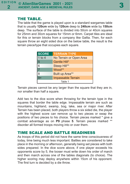#### THE TABLE.

The table that the game is played upon is a standard wargames table that is usually **120cm** wide by **120cm** deep to **240cm** wide by **150cm** deep. The surface of the table is divided into 50cm or 40cm squares for 25mm and 30cm squares for 15mm or 6mm. Carpet tiles are ideal for this or terrain blocks from a company like Gallia. Then, for each square throw an eight sided dice on the below table, the result is the terrain piece/type that occupies each square.

| <b>SCORE</b>              | <b>TERRAIN TYPE</b>     |  |  |  |
|---------------------------|-------------------------|--|--|--|
| $1$ to $4$                | No Terrain or Open Area |  |  |  |
| 5                         | Gentle Hill*            |  |  |  |
| 6                         | Steep Hill**            |  |  |  |
|                           | Wood**                  |  |  |  |
| 8                         | Built up Area**         |  |  |  |
| <b>Impassable Terrain</b> |                         |  |  |  |
| Table 1                   |                         |  |  |  |

Terrain pieces cannot be any larger than the square that they are in, nor smaller than half a square.

Add two to the dice score when throwing for the terrain type in the squares that border the table edge. Impassable terrain are such as mountains, highland, swamp, bog, lake, sea or major river. After Terrain has been placed, both players throw a six sided die, the player with the highest score can remove up to two pieces or swap the positions of two pieces to his choice. Terrain pieces marked \* give a combat advantage as on **P9** phase **5**. Terrain pieces marked \*\* disorder all formed troops moving into or over them.

# TIME SCALE AND BATTLE READINESS

As troops of this period did not have the same time consciousness of today, time being much less important. Battles are considered to take place in the morning or afternoon, generally being set pieces with both sides prepared. In the dice score above, if one player exceeds his opponents score by 5, the looser must write down his order of march and then march across one of the tables diagonals (to choice). The higher scoring may deploy anywhere within 15cm of his opponent. The first turn is decided by a die throw.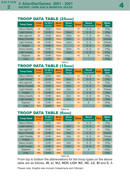# TROOP DATA TABLE (25mm)

| <b>Troop Class</b>    | <b>Front</b><br>(mm) | To Hit if<br>Ord/Dis* | <b>Move</b><br>Rate | <b>Shoot</b><br>Range | <b>Break</b> | <b>Recoil</b><br><b>Disordered</b> | <b>Pass</b> | <b>Melee</b><br><b>Dice</b> |
|-----------------------|----------------------|-----------------------|---------------------|-----------------------|--------------|------------------------------------|-------------|-----------------------------|
| <b>Heavy Infantry</b> | 15                   | $3 + / 5 +$           | 10 <sub>cm</sub>    | -                     | $3$          | $4 - 6$                            | $7+$        | 1/Fiq                       |
| Light Infantry        | 20                   | $4 + 15 +$            | 15cm                | 15cm                  | $5$          | $6 - 8$                            | $9+$        | 1/Fiq                       |
| Very Light Inf        | 30                   | $5 + / 5 +$           | 20cm                | 15cm                  | < 6          | $7 - 8$                            | $9+$        | 1/Fiq                       |
| <b>Heavy Chariots</b> | 60                   | $4 + 16 +$            | 15 <sub>cm</sub>    | 15 <sub>cm</sub>      | $3$          | $4 - 6$                            | $7+$        | 1/Horse                     |
| <b>Light Chariots</b> | 60                   | $4 + 16 +$            | 15cm                | 10 <sub>cm</sub>      | $5$          | $6 - 8$                            | $9+$        | 1/Horse                     |
| <b>Knights</b>        | 20                   | $3 + / 6 +$           | 10 <sub>cm</sub>    | ۰                     | $3$          | $4 - 6$                            | $7+$        | 1/Fig                       |
| <b>Heavy Cavalry</b>  | 20                   | $4 + 16 +$            | 15cm                | 10 <sub>cm</sub>      | $5$          | $6 - 8$                            | $9+$        | 1/Fiq                       |
| <b>Light Cavalry</b>  | 30                   | $5 + 16 +$            | 15 <sub>cm</sub>    | 10cm                  | $5$          | $6 - 8$                            | $9+$        | 1/Fiq                       |
| Elephant              | 60                   | $3 + / 6 +$           | 10 <sub>cm</sub>    | ۰                     | $5$          | 6                                  | $7+$        | 4/Fig                       |
| Crew                  | N/A                  | $5 + / 5 +$           | N/A                 | 15cm                  |              |                                    |             | 1/Fig                       |

Table 2

# TROOP DATA TABLE (15mm)

| <b>Troop Class</b>    | <b>Front</b><br>(mm) | To Hit if<br>Ord/Dis* | <b>Move</b><br>Rate | <b>Shoot</b><br>Range | <b>Break</b> | <b>Recoil</b><br><b>Disordered</b> | <b>Pass</b> | <b>Melee</b><br><b>Dice</b> |
|-----------------------|----------------------|-----------------------|---------------------|-----------------------|--------------|------------------------------------|-------------|-----------------------------|
| <b>Heavy Infantry</b> | 10                   | $3 + / 5 +$           | 5 <sub>cm</sub>     | -                     | $<$ 3        | $4 - 6$                            | $7+$        | 1/Fiq                       |
| Light Infantry        | 13                   | $4 + 15 +$            | 8 <sub>cm</sub>     | 8cm                   | $5$          | $6 - 8$                            | $9+$        | 1/Fiq                       |
| Very Light Inf        | 20                   | $5 + 15 +$            | 10cm                | 8 <sub>cm</sub>       | < 6          | $7 - 8$                            | $9+$        | 1/Fiq                       |
| <b>Heavy Chariots</b> | 40                   | $4 + 16 +$            | 8 <sub>cm</sub>     | 8 <sub>cm</sub>       | $3$          | $4 - 6$                            | $7+$        | 1/Horse                     |
| <b>Light Chariots</b> | 40                   | $4 + 16 +$            | 8 <sub>cm</sub>     | 5 <sub>cm</sub>       | < 5          | $6 - 8$                            | $9+$        | 1/Horse                     |
| <b>Knights</b>        | 13                   | $3 + / 6 +$           | 5 <sub>cm</sub>     | -                     | $3$          | $4 - 6$                            | $7+$        | 1/Fig                       |
| <b>Heavy Cavalry</b>  | 13                   | $4 + 16 +$            | 8 <sub>cm</sub>     | 5 <sub>cm</sub>       | < 5          | $6 - 8$                            | $9+$        | 1/Fiq                       |
| <b>Light Cavalry</b>  | 20                   | $5 + 16 +$            | 8 <sub>cm</sub>     | 5 <sub>cm</sub>       | < 5          | $6 - 8$                            | $9+$        | 1/Fiq                       |
| Elephant              | 40                   | $3 + / 6 +$           | 5cm                 | ۰                     | $5$          | 6                                  | $7+$        | 4/Fig                       |
| <b>Crew</b>           | N/A                  | $5 + 15 +$            | N/A                 |                       |              |                                    |             | 1/Fig                       |

Table 2a

# TROOP DATA TABLE (6mm)

| <b>Troop Class</b>    | <b>Front</b><br>(mm) | To Hit if<br>Ord/Dis* | <b>Move</b><br>Rate | <b>Shoot</b><br>Range | <b>Break</b> | <b>Recoil</b><br><b>Disordered</b> | <b>Pass</b> | <b>Melee</b><br><b>Dice</b> |
|-----------------------|----------------------|-----------------------|---------------------|-----------------------|--------------|------------------------------------|-------------|-----------------------------|
| <b>Heavy Infantry</b> | 5                    | $3 + / 5 +$           | 3 <sub>cm</sub>     | -                     | $<$ 3        | $4 - 6$                            | $7+$        | 1/Fiq                       |
| Light Infantry        | $\overline{7}$       | $4 + 15 +$            | 4 <sub>cm</sub>     | 5 <sub>cm</sub>       | < 5          | $6 - 8$                            | $9+$        | 1/Fig                       |
| Very Light Inf        | 10                   | $5 + 15 +$            | 5 <sub>cm</sub>     | 5 <sub>cm</sub>       | < 6          | $7 - 8$                            | $9+$        | 1/Fia                       |
| <b>Heavy Chariots</b> | 20                   | $4 + 16 +$            | 4 <sub>cm</sub>     | 5 <sub>cm</sub>       | $3$          | $4 - 6$                            | $7+$        | 1/Horse                     |
| <b>Light Chariots</b> | 20                   | $4 + 16 +$            | 4 <sub>cm</sub>     | 3 <sub>cm</sub>       | < 5          | $6 - 8$                            | $9+$        | 1/Horse                     |
| <b>Knights</b>        | 7                    | $3 + / 6 +$           | 3 <sub>cm</sub>     | -                     | $3$          | $4 - 6$                            | $7+$        | 1/Fiq                       |
| <b>Heavy Cavalry</b>  | $\overline{7}$       | $4 + 16 +$            | 4 <sub>cm</sub>     | 3 <sub>cm</sub>       | < 5          | $6 - 8$                            | $9+$        | 1/Fig                       |
| <b>Light Cavalry</b>  | 10                   | $5 + 16 +$            | 4 <sub>cm</sub>     | 3 <sub>cm</sub>       | < 5          | $6 - 8$                            | $9+$        | 1/Fiq                       |
| Elephant              | 20                   | $3 + / 6 +$           | 3 <sub>cm</sub>     | -                     | < 5          | 6                                  | $7+$        | 4/Fig                       |
| Crew                  | N/A                  | $5 + 15 +$            | N/A                 |                       |              |                                    |             | 1/Fiq                       |

Table 2b

From top to bottom the abbreviations for the troop types on the above table are as follows, **HI**, **LI**, **VLI**, **HCH**, **LCH**, **KC**, **HC**, **LC**, **El** and **C**. A

Please note: Knights also include Cataphracts and Clibinarii.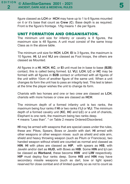5

figure classed as **LCH** or **HCH** may have up to 1 to 6 figures mounted on it or it's base that count as **Crew** (**C**). Base depth is as required. Front is the figure's frontage. 1/fig means 1 die per figure.

#### UNIT FORMATION AND ORGANISATION.

The minimum unit size for infantry or cavalry is 8 figures, the maximum size is 48 figures. A unit must consist of the same troop Class as in the above table.

The minimum unit size for **HCH**, **LCH**, **El** is 3 figures, the maximum is 10 figures. **HI**, **LI** and **VLI** are classed as Foot troops, the others are classed as Mounted.

All figures in a **HI**, **HCH**, **KC**, or **El** unit must be in base to base (**B2B**) contact, this is called being formed. **LI**, **VLI**, **LCH**, **LC** or **HC** may be formed with all figures in **B2B** contact or unformed with all figures of the unit within 10cm of another figure of the same unit. When a unit changes its form the unit has to pass an integrity test. This test is taken at the time the player wishes the unit to change its form.

Chariots with two horses and one or two crew are classed as **LCH**, chariots with more horses or crew are classed as **HCH**.

The minimum depth of a formed infantry unit is two ranks, the maximum being four ranks if **HI** or two ranks if **LI** or **VLI**. The minimum depth of a formed cavalry unit (**KC**, **HC** and **LC**) or a unit of chariots, Elephant is one rank, the maximum being two ranks deep. **<** means "Less than". \* on Table 2 means Ordered/Disordered.

**HI** may be armed with weapons that are special cases under the rules, these are: Pikes, Spears, Bows or Javelin with dart. **HI** armed with other weapons or other weapon mixes such as shield and side arm, shield and heavy throwing weapon (such as Pilum or Francisca), two handed weapon without shield are counted as normal and classed as **HIN**. **HI** with pikes are classed as **HIP**, with spears as **HIS**, with Javelin and/or dart as **HIJD**, with Bows as **HIB**. Some **HIN** and **LI** can be classed as **Warband**, these become **HIW** and **LIW** respectively. **HIP** must deploy four ranks deep. Some **HIS** and **HIN** may have secondary missile weapons (such as dart, bow or light spear) reserved for close combat and of limited quantity so as not to count as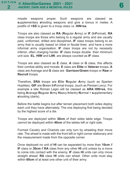6

missile weapons proper. Such weapons are classed as **s**upplementary **s**hooting weapons and give a bonus in melee. A postfix of **+SS** is given to a troop class i.e. **HIN+ss**.

Troops are also classed as **RA** (**R**egular **A**rmy) or **IF** (**I**n**F**ormal). **RA** class troops are those who belong to a regular army and are usually paid, uniformed, drilled and disciplined. **IF** class troops belong to an army that is usually based on tribal or feudal lines and have a more informal army organisation. **IF** class troops are not by necessity inferior, often charging harder. **IF** class troops double their minimum unit size. **EL**, **HIW** and **LIW**, are always counted as **IF** class.

Troops are also classed as **E** class, **A** class or **G** class, this affects their combat ability and morale. **E** class are **Elite** or **Veteran** troops, **A** class are Average and **G** class are **Garrison**/**Green** troops or **Raw** or **Recruit** troops.

Therefore, **ERA** troops are **E**lite **R**egular **A**rmy (such as Spartan Hoplites), **GIF** are **G**reen **I**n**F**ormal troops, (such as Persian Levy). For example a late Roman Legio will be classed as **ARA HIN+ss**, this being **A**verage **R**egular **A**rmy **H**eavy **I**nfantry **N**ormal + **s**upplementary **s**hooting (darts).

Before the battle begins but after terrain placement both sides deploy each unit they have alternately. The one deploying first being decided by the highest score of a die.

Troops are deployed within **30cm** of their sides table edge. Troops cannot be deployed within **40cm** of the tables left or right side.

Formed Cavalry and Chariots can only turn by wheeling their move rate. The wheel is made with the front left or right corner stationary and the measurement made from the opposite corner.

Once deployed no unit of **HI** can be separated by more than **10cm** if **IF** class or **30cm** if **RA** class from any other **HI** unit unless by a move to come into contact with the enemy. **IF** class **HI** units can only move straight ahead. **RA** class **HI** units can wheel. Other units must stay within **60cm** of at least one other unit of their army.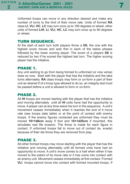Unformed troops can move in any direction desired and make any number of turns to the limit of their move rate. Units of formed **RA** class **LI**, **VLI**, **HC**, **LC** may turn once up to 180 degrees or wheel, other units of formed **LHI**, **LI**, **VLI**, **HC**, **LC** may turn once up to 90 degrees or wheel.

## TURN SEQUENCE.

At the start of each turn both players throw a **D6**, the one with the highest score moves and acts first in each of the below phases followed by the lower scoring player. The score of a players **D6** is reduced by two if he scored the highest last turn. The higher scoring player has the initiative.

#### PHASE 1.

Any unit wishing to go from being formed to unformed (or vice versa) does so now. Start with the player that has the initiative and the take turns alternately. **RA** class troops may form or un-form a part of their unit as desired if of a troop type allowed to do so, an integrity test must be passed before a unit is allowed to form or un-form.

### PHASE 2.

All **HI** troops are moved starting with the player that has the initiative and moving alternately until all **HI** units have had the opportunity to move. A player can at any time waive his turn in the sequence. A unit's movement ceases immediately when it reaches the end of it move rate (see troops data table) or at the point of contact with enemy troops. If the enemy figures contacted are unformed they must be moved **10+1d8cm** away if foot and **10+1d20cm** if mounted, this simulates real life evasion. The throw is made for each figure in contact. If unformed troops fail to move out of contact (ie. evade) because of their die throw they are removed from play.

#### PHASE 3.

All other formed troops may move starting with the player that has the initiative and moving alternately until all formed units have had an opportunity to move. A unit's move comes to a halt when either it has moved to the extent of its move rate or it has come into contact with an enemy unit. Movement ceases immediately at first contact. Formed **VLI** troops cannot move into contact with formed mounted troops. If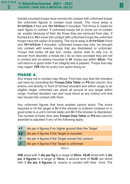formed mounted troops have moved into contact with unformed troops the unformed figures in contact must evade. The move away is **5+1d10cm** if foot and **10+1d10cm** if mounted. The throw is made for each figure in contact. If unformed troops fail to move out of contact (ie. evade) because of their die throw they are removed from play. If formed **LI** or **VLI** move into contact with unformed troops the unformed troops have the option of evading. The move away is **5+1d12cm** if foot and **10+1d12cm** if mounted. Unformed troops may only be brought into contact with enemy troops that are disordered or unformed. Troops that broke off last turn, broke, and/or wish to rally (i.e. to recover from disorder, a break etc.) do so here provided they are not in contact and no enemy mounted or **HI** troops are within **45cm**. The unit returns to good order if an integrity test is passed. Troops that rally may regain **1D6** hits for every turn spent doing so.

## PHASE 4.

Any troops not in contact may Shoot. Find how may dice the shooters can have by consulting the **Troops Data Table** on **P4** last column. Any enemy unit directly in front of formed shooters and within range is an eligible target, unformed can shoot all around at any target within range. Formed shooters can and must shoot at any enemy unit that has moved into contact with them.

Any unformed figures that have evaded cannot shoot. The score required to hit the target is **5+** if the shooter is ordered (ordered or in good order is a unit's normal state) and **6+** if the shooter is disordered. The number of basic dice (see **Troops Data Table** on **P4** last column) awarded is adjusted if any of the following apply;

- **+1** die per 4 figures if on higher ground than the Target.
- **+2** die per 4 figures if the Target is mounted.
- **-1** die per 4 figures if the Target moved into contact.
- **-1** die per 4 figures if the Target is unformed.

Table 3

**HIB** shoot with **1 die per fig** to a range of **20cm**. **HIJB** shoot with **1 die per 2 figures** to a range of **10cm**, a second rank of **HIJB** can shoot with **1 die per 4 figures** at enemy in contact with their front. The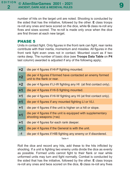number of hits on the target unit are noted. Shooting is conducted by the sided that has the initiative, followed by the other. **E** class troops re-roll any ones and twos scored on the dice, while **G** class re-roll any fives and sixes scored. The re-roll is made only once when the dice are first thrown at each new target.

## PHASE 5

Units in contact fight. Only figures in the front rank can fight, rear ranks contribute with their inertia, momentum and missiles. All figures in the front rank fight even ones not in contact. Mounted count as if two ranks deep. The number of basic dice (see **Troops Data Table** on **P4** last column) awarded is adjusted if any of the following apply;

| $+2$ | die per 4 figures if HI-P fighting mounted.                                              |
|------|------------------------------------------------------------------------------------------|
| $+2$ | die per 4 figures if formed have contacted an enemy formed<br>unit to the flank or rear. |
| $+2$ | die per 4 figures if LI-W fighting any HI (at first contact only).                       |
| $+1$ | die per 4 figures if HI-S fighting mounted.                                              |
| $+1$ | die per 4 figures if HI-W fighting any HI (at first contact only).                       |
| $+1$ | die per 4 figures if any mounted fighting LI or VLI.                                     |
| $+1$ | die per 4 figures if the unit is higher on a hill or slope.                              |
| $+1$ | die per 4 figures if the unit is equipped with supplementary<br>shooting weapons (+ss)   |
| $+1$ | die per 4 figures for each rank deeper.                                                  |
| $+1$ | die per 4 figures if the General is with the unit.                                       |
| $-1$ | die per 4 figures if HIB fighting any enemy or if disordered.                            |
|      |                                                                                          |

Table 4

Roll the dice and record any hits, add these to the hits inflicted by shooting. If a unit is fighting two enemy units divide the dice as evenly as possible. Formed units cannot fight to their flank or rear while unformed units may turn and fight normally. Combat is conducted by the sided that has the initiative, followed by the other. **E** class troops re-roll any ones and twos scored on the dice, **G** class re-roll any fives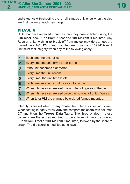and sixes. As with shooting the re-roll is made only once when the dice are first thrown at each new target.

## PHASE 6

Units that have received more hits than they have inflicted during the turn recoil back **5+1d10cm** if foot and **10+1d10cm** if mounted. Any Regular units wishing to break off from melee may do so, foot are moved back **5+1d12cm** and mounted are move back **10+1d12cm**. A unit must test integrity when any of the following apply.

| 1              | Each time the unit rallies.                                   |
|----------------|---------------------------------------------------------------|
| $\overline{2}$ | Every time the unit forms or un-forms.                        |
| $\mathbf{3}$   | If the unit becomes disordered.                               |
| 4              | Every time the unit recoils.                                  |
| $5\phantom{1}$ | Every time the unit breaks off.                               |
| 6              | Each time an enemy unit moves into contact                    |
| $\overline{7}$ | When hits received exceed the number of figures in the unit.  |
| 8              | When hits received exceed twice the number of unit's figures. |
| 9              | When LI or VLI are charged by ordered formed mounted.         |
|                |                                                               |

Integrity is tested when in any phase the criteria for testing is met. When testing integrity throw **2D6** and compare the score with columns 6,7 and 8 on the **Troops Data Table**. The three entries in these columns are the scores required to pass, to recoil back disordered (**5+1d10cm** if foot or **10+1d10cm** if mounted) followed by the score to break. The die score is modified as follows;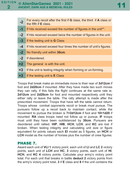| $-2$ | the fifth if E class.                                            |
|------|------------------------------------------------------------------|
| $-1$ | If hits received exceed the number of figures in the unit**.     |
| $-2$ | If hits received exceed twice the number of figures in the unit. |
| $-3$ | If the testing unit is <b>G</b> Class                            |
| $-4$ | If hits received exceed four times the number of unit's figures. |
| $-2$ | No friendly unit within 30cm.                                    |
| $-2$ | If disordered.                                                   |
| $+2$ | The general is with the unit.                                    |
| $+3$ | If the unit is testing integrity when forming or un-forming.     |
| $+3$ | If the testing unit is $E$ Class                                 |

**-2** For every recoil after the first if **<sup>G</sup>** class, the third if **<sup>A</sup>** class or

Troops that break make an immediate move to their rear of **3d12cm** if foot and **2d20cm** if mounted. After they have made two such moves they can rally, if this fails the flight continues at the same rate ie. **2d12cm** and **2d20cm** for foot and mounted respectively until they either rally or leave the table. The rally attempt is made after the prescribed movement. Troops that have left the table cannot return. Troops whose combat opponents recoil or break must pursue. The pursuers follow up a recoil back to maintain contact, while the movement to pursue the broken is **7+2d12cm** if foot and **10+1d20** if mounted. **RA** class troops need not follow up or pursue, **IF** troops must until they have been outdistanced by **30cm**. Pursuers are disordered until rallied. **HIP**, **HIB**, **HCH**, **LCH**, and **KC** are lost if broken. When testing integrity and calculating unit size or figure equivalent for points values each **El** model as 5 figures, an **HCH** or **LCH** model as the number of horses plus the number of crew figures.

## PHASE 7.

Award each unit of **VLI 1** victory point, each unit of **LI** and **LC 2** victory points, each unit of **LCH** and **HC**, **3** victory points, each unit of **HI**, **HCH**, and **KC 4** victory points. Calculate your army's victory point total. For each unit that breaks in battle **deduct 2** victory points from the army's victory point total, **3** if **E** class and **8** if the unit contains the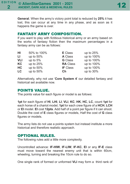**General**. When the army's victory point total is reduced by **25%** it has lost, this can occur at any time in any phase, and as soon as it happens the game is over.

## FANTASY ARMY COMPOSITION.

If you want to play with fictitious historical army or an army based on the works of fantasy fiction then the maximum percentages in a fantasy army can be as follows:

| HI         | 50% to 100% | <b>E</b> Class  | up to $25%$ |
|------------|-------------|-----------------|-------------|
| LI         | up to 50%   | <b>A</b> Class  | up to 100%  |
| <b>VLI</b> | up to $5%$  | <b>G</b> Class  | up to 100%  |
| KC         | up to 25%   | <b>RA</b> Class | up to 100%  |
| НC         | up to 50%   | <b>IF Class</b> | up to 100%  |
| LC         | up to 50%   | Ch              | up to 30%   |

Alternatively, why not use '**Core System 4**' our detailed fantasy and historical set available now.

### POINTS VALUE.

The points value for each figure or model is as follows:

**1pt** for each figure of **HI**, **LHI**, **LI**, **VLI**, **KC**, **HK**, **HC**, **LC**, count **1pt** for each horse of a chariot model, **1pt** for each crew figure of a **HCH**, **LCH** or **El** model. **El** cost **12pts**. Add half of a point per figure if it can shoot. Double the cost of **E** class figures or models, Half the cost of **G** class figures or models.

The army lists do not use a points system but instead institute a more historical and therefore realistic approach.

## OPTIONAL RULES.

The following rules add a little more complexity.

Uncontrolled advance: **IF-HIW**, **IF-LIW**, **IF-KC**, **El** or any **IF-E** class must move toward the nearest enemy unit that is within 60cm, wheeling, turning and breaking the 10cm rule to do so.

One single rank of formed or unformed **VLI** may form a third rank of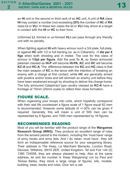an **HI** unit or the second or third rank of an **HC** unit. A unit of **RA** class **HI** may contain a number (not exceeding **25%** the number of **HI**) of **RA** class **LI** or **VLI**. In these two cases the **LI** or **VLI** may shoot at a target in contact with the **HI** or **HC** to their front.

Unformed **LI**, formed or un-formed **VLI** can pass through any friendly unit with no penalty.

When fighting against **HI** with heavy armour such a 3/4 plate, full plate, or against **HC** with 1/2 or full barding (ie. as in Clibanarii) **-1 die per 4 figs** when both shooting and in melee. The cost for this class of armour is **1/2pt per figure**. Add the post fix **A**, so Swiss armoured pikemen classed as **HI-P** will become **HI-PA**, **KC** and **HC** will become **KC-A** and **HC-A**. The difference between the **KC** and **HC** class is that the main weapon of **KC** is the lance with the intention of breaking an enemy with a charge at first contact, while **HC** are generally armed with javelins and/or bows and will skirmish an enemy unit before they have been weakened enough by shooting to deliver the charge home. The fully armoured Cataphract type cavalry classed as **KC-A** have a frontage of 15mm (25mm scale) to reflect their close formation.

# FIGURE SCALE.

When organising your troops into units, which hopefully correspond with their real life counterpart a figure scale of 1 figure equal 62 men is recommended. However some latitude of +/-30% can be given if required. Generally, this will mean a unit of 500 men can be represented by 8 figures, and 1000 men represented by 16 figures.

### RECOMMENDED READING

Most of you will be familiar with the product range of the **Wargames Research Group (WRG).** They produce an excellent range of rules from the ancient period to the modern, including the 'must have' range of army books and army lists. And I do mean 'must have', they will form an indispensable reference source for your wargaming library. Their address is The Keep, Le Marchant Barracks, London Road, Devizes, Wiltshire, SN10 2ER. United Kingdom. Tel and Fax +44 (0) 1380 724558, they are always pleased to help. Also at the same address, tel and fax number is 'Keep Wargaming' run by Paul and Teresa Bailey, they stock a large range of figures, kits, models, building, trees, books and rules. Give 'em a call.